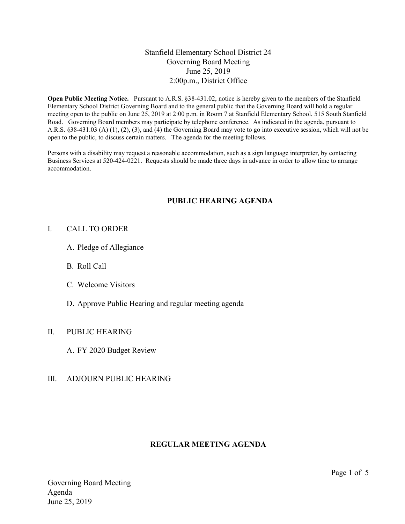# Stanfield Elementary School District 24 Governing Board Meeting June 25, 2019 2:00p.m., District Office

Open Public Meeting Notice. Pursuant to A.R.S. §38-431.02, notice is hereby given to the members of the Stanfield Elementary School District Governing Board and to the general public that the Governing Board will hold a regular meeting open to the public on June 25, 2019 at 2:00 p.m. in Room 7 at Stanfield Elementary School, 515 South Stanfield Road. Governing Board members may participate by telephone conference. As indicated in the agenda, pursuant to A.R.S. §38-431.03 (A) (1), (2), (3), and (4) the Governing Board may vote to go into executive session, which will not be open to the public, to discuss certain matters. The agenda for the meeting follows.

Persons with a disability may request a reasonable accommodation, such as a sign language interpreter, by contacting Business Services at 520-424-0221. Requests should be made three days in advance in order to allow time to arrange accommodation.

# PUBLIC HEARING AGENDA

### I. CALL TO ORDER

- A. Pledge of Allegiance
- B. Roll Call
- C. Welcome Visitors
- D. Approve Public Hearing and regular meeting agenda

# II. PUBLIC HEARING

A. FY 2020 Budget Review

# III. ADJOURN PUBLIC HEARING

# REGULAR MEETING AGENDA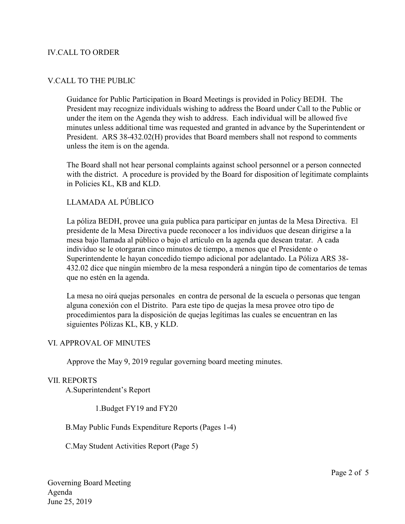### IV.CALL TO ORDER

### V.CALL TO THE PUBLIC

Guidance for Public Participation in Board Meetings is provided in Policy BEDH. The President may recognize individuals wishing to address the Board under Call to the Public or under the item on the Agenda they wish to address. Each individual will be allowed five minutes unless additional time was requested and granted in advance by the Superintendent or President. ARS 38-432.02(H) provides that Board members shall not respond to comments unless the item is on the agenda.

The Board shall not hear personal complaints against school personnel or a person connected with the district. A procedure is provided by the Board for disposition of legitimate complaints in Policies KL, KB and KLD.

# LLAMADA AL PÚBLICO

La póliza BEDH, provee una guía publica para participar en juntas de la Mesa Directiva. El presidente de la Mesa Directiva puede reconocer a los individuos que desean dirigirse a la mesa bajo llamada al público o bajo el artículo en la agenda que desean tratar. A cada individuo se le otorgaran cinco minutos de tiempo, a menos que el Presidente o Superintendente le hayan concedido tiempo adicional por adelantado. La Póliza ARS 38- 432.02 dice que ningún miembro de la mesa responderá a ningún tipo de comentarios de temas que no estén en la agenda.

La mesa no oirá quejas personales en contra de personal de la escuela o personas que tengan alguna conexión con el Distrito. Para este tipo de quejas la mesa provee otro tipo de procedimientos para la disposición de quejas legítimas las cuales se encuentran en las siguientes Pólizas KL, KB, y KLD.

#### VI. APPROVAL OF MINUTES

Approve the May 9, 2019 regular governing board meeting minutes.

#### VII. REPORTS

A.Superintendent's Report

1.Budget FY19 and FY20

B.May Public Funds Expenditure Reports (Pages 1-4)

C.May Student Activities Report (Page 5)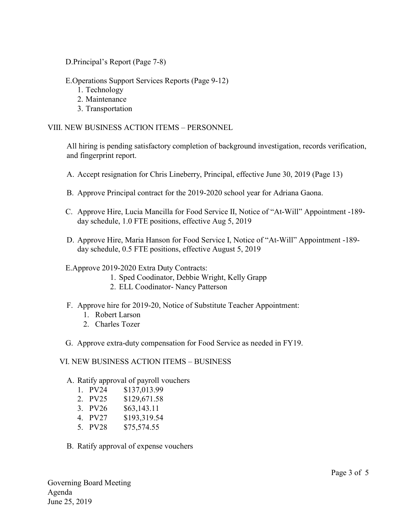D.Principal's Report (Page 7-8)

E.Operations Support Services Reports (Page 9-12)

- 1. Technology
- 2. Maintenance
- 3. Transportation

VIII. NEW BUSINESS ACTION ITEMS – PERSONNEL

All hiring is pending satisfactory completion of background investigation, records verification, and fingerprint report.

- A. Accept resignation for Chris Lineberry, Principal, effective June 30, 2019 (Page 13)
- B. Approve Principal contract for the 2019-2020 school year for Adriana Gaona.
- C. Approve Hire, Lucia Mancilla for Food Service II, Notice of "At-Will" Appointment -189 day schedule, 1.0 FTE positions, effective Aug 5, 2019
- D. Approve Hire, Maria Hanson for Food Service I, Notice of "At-Will" Appointment -189 day schedule, 0.5 FTE positions, effective August 5, 2019

#### E.Approve 2019-2020 Extra Duty Contracts:

- 1. Sped Coodinator, Debbie Wright, Kelly Grapp
- 2. ELL Coodinator- Nancy Patterson
- F. Approve hire for 2019-20, Notice of Substitute Teacher Appointment:
	- 1. Robert Larson
	- 2. Charles Tozer
- G. Approve extra-duty compensation for Food Service as needed in FY19.

#### VI. NEW BUSINESS ACTION ITEMS – BUSINESS

#### A. Ratify approval of payroll vouchers

- 1. PV24 \$137,013.99
- 2. PV25 \$129,671.58
- 3. PV26 \$63,143.11
- 4. PV27 \$193,319.54
- 5. PV28 \$75,574.55
- B. Ratify approval of expense vouchers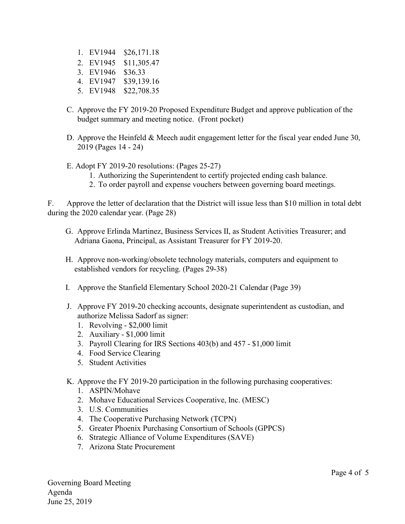- 1. EV1944 \$26,171.18
- 2. EV1945 \$11,305.47
- 3. EV1946 \$36.33
- 4. EV1947 \$39,139.16
- 5. EV1948 \$22,708.35
- C. Approve the FY 2019-20 Proposed Expenditure Budget and approve publication of the budget summary and meeting notice. (Front pocket)
- D. Approve the Heinfeld & Meech audit engagement letter for the fiscal year ended June 30, 2019 (Pages 14 - 24)
- E. Adopt FY 2019-20 resolutions: (Pages 25-27)
	- 1. Authorizing the Superintendent to certify projected ending cash balance.
	- 2. To order payroll and expense vouchers between governing board meetings.

F. Approve the letter of declaration that the District will issue less than \$10 million in total debt during the 2020 calendar year. (Page 28)

- G. Approve Erlinda Martinez, Business Services II, as Student Activities Treasurer; and Adriana Gaona, Principal, as Assistant Treasurer for FY 2019-20.
- H. Approve non-working/obsolete technology materials, computers and equipment to established vendors for recycling. (Pages 29-38)
- I. Approve the Stanfield Elementary School 2020-21 Calendar (Page 39)
- J. Approve FY 2019-20 checking accounts, designate superintendent as custodian, and authorize Melissa Sadorf as signer:
	- 1. Revolving \$2,000 limit
	- 2. Auxiliary \$1,000 limit
	- 3. Payroll Clearing for IRS Sections 403(b) and 457 \$1,000 limit
	- 4. Food Service Clearing
	- 5. Student Activities
- K. Approve the FY 2019-20 participation in the following purchasing cooperatives:
	- 1. ASPIN/Mohave
	- 2. Mohave Educational Services Cooperative, Inc. (MESC)
	- 3. U.S. Communities
	- 4. The Cooperative Purchasing Network (TCPN)
	- 5. Greater Phoenix Purchasing Consortium of Schools (GPPCS)
	- 6. Strategic Alliance of Volume Expenditures (SAVE)
	- 7. Arizona State Procurement